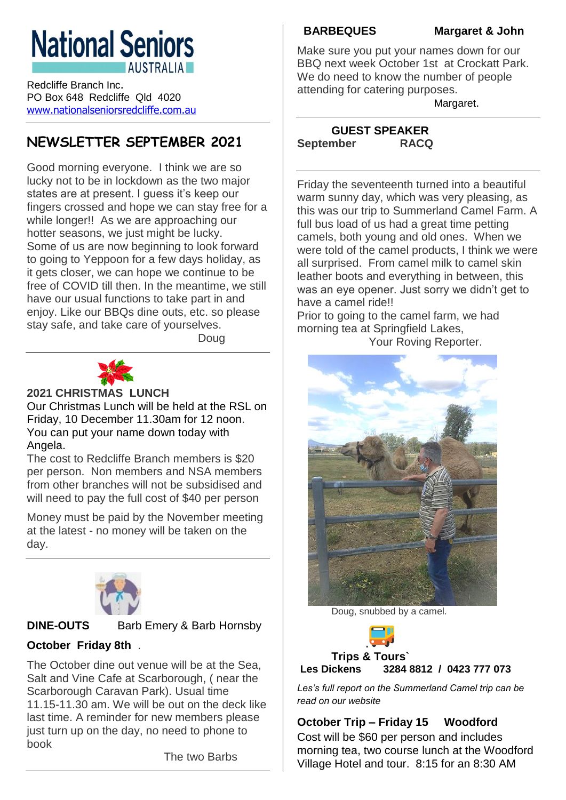# **National Seniors AUSTRALIA**

Redcliffe Branch Inc. PO Box 648 Redcliffe Qld 4020 [www.nationalseniorsredcliffe.com.au](http://www.nationalseniorsredcliffe.com.au/)

# **NEWSLETTER SEPTEMBER 2021**

Good morning everyone. I think we are so lucky not to be in lockdown as the two major states are at present. I guess it's keep our fingers crossed and hope we can stay free for a while longer!! As we are approaching our hotter seasons, we just might be lucky. Some of us are now beginning to look forward to going to Yeppoon for a few days holiday, as it gets closer, we can hope we continue to be free of COVID till then. In the meantime, we still have our usual functions to take part in and enjoy. Like our BBQs dine outs, etc. so please stay safe, and take care of yourselves.

Doug



# **2021 CHRISTMAS LUNCH**

Our Christmas Lunch will be held at the RSL on Friday, 10 December 11.30am for 12 noon. You can put your name down today with Angela.

The cost to Redcliffe Branch members is \$20 per person. Non members and NSA members from other branches will not be subsidised and will need to pay the full cost of \$40 per person

Money must be paid by the November meeting at the latest - no money will be taken on the day.



## **DINE-OUTS** Barb Emery & Barb Hornsby



# **October Friday 8th** .

The October dine out venue will be at the Sea, Salt and Vine Cafe at Scarborough, ( near the Scarborough Caravan Park). Usual time 11.15-11.30 am. We will be out on the deck like last time. A reminder for new members please just turn up on the day, no need to phone to book

The two Barbs

**BARBEQUES Margaret & John**

Make sure you put your names down for our BBQ next week October 1st at Crockatt Park. We do need to know the number of people attending for catering purposes.

Margaret.

### **GUEST SPEAKER September RACQ**

Friday the seventeenth turned into a beautiful warm sunny day, which was very pleasing, as this was our trip to Summerland Camel Farm. A full bus load of us had a great time petting camels, both young and old ones. When we were told of the camel products, I think we were all surprised. From camel milk to camel skin leather boots and everything in between, this was an eye opener. Just sorry we didn't get to have a camel ride!!

Prior to going to the camel farm, we had morning tea at Springfield Lakes, Your Roving Reporter.



Doug, snubbed by a camel.



# **Trips & Tours` Les Dickens 3284 8812 / 0423 777 073**

*Les's full report on the Summerland Camel trip can be read on our website*

**October Trip – Friday 15 Woodford**

Cost will be \$60 per person and includes morning tea, two course lunch at the Woodford Village Hotel and tour. 8:15 for an 8:30 AM